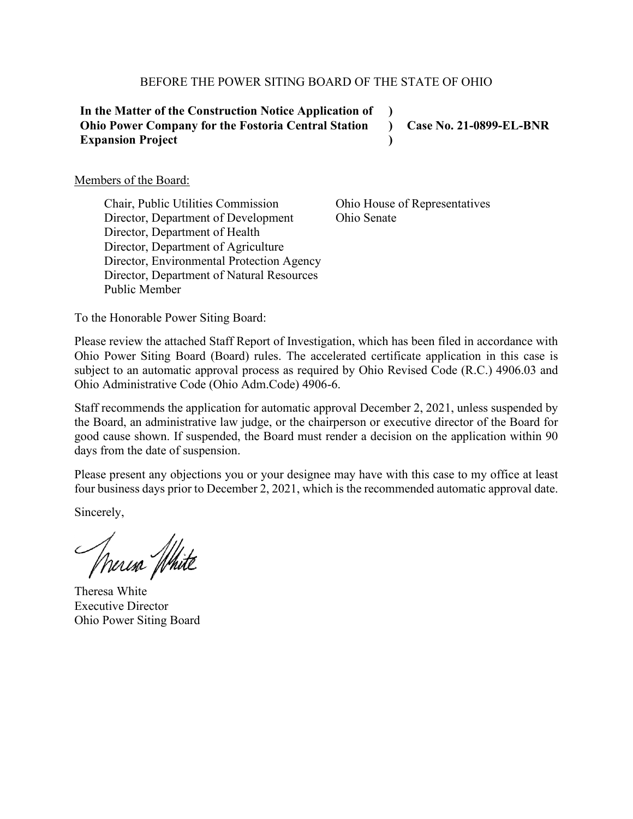#### BEFORE THE POWER SITING BOARD OF THE STATE OF OHIO

| In the Matter of the Construction Notice Application of    |                                |
|------------------------------------------------------------|--------------------------------|
| <b>Ohio Power Company for the Fostoria Central Station</b> | <b>Case No. 21-0899-EL-BNR</b> |
| <b>Expansion Project</b>                                   |                                |

Members of the Board:

Chair, Public Utilities Commission Director, Department of Development Director, Department of Health Director, Department of Agriculture Director, Environmental Protection Agency Director, Department of Natural Resources Public Member

Ohio House of Representatives Ohio Senate

To the Honorable Power Siting Board:

Please review the attached Staff Report of Investigation, which has been filed in accordance with Ohio Power Siting Board (Board) rules. The accelerated certificate application in this case is subject to an automatic approval process as required by Ohio Revised Code (R.C.) 4906.03 and Ohio Administrative Code (Ohio Adm.Code) 4906-6.

Staff recommends the application for automatic approval December 2, 2021, unless suspended by the Board, an administrative law judge, or the chairperson or executive director of the Board for good cause shown. If suspended, the Board must render a decision on the application within 90 days from the date of suspension.

Please present any objections you or your designee may have with this case to my office at least four business days prior to December 2, 2021, which is the recommended automatic approval date.

Sincerely,

Murisa White

Theresa White Executive Director Ohio Power Siting Board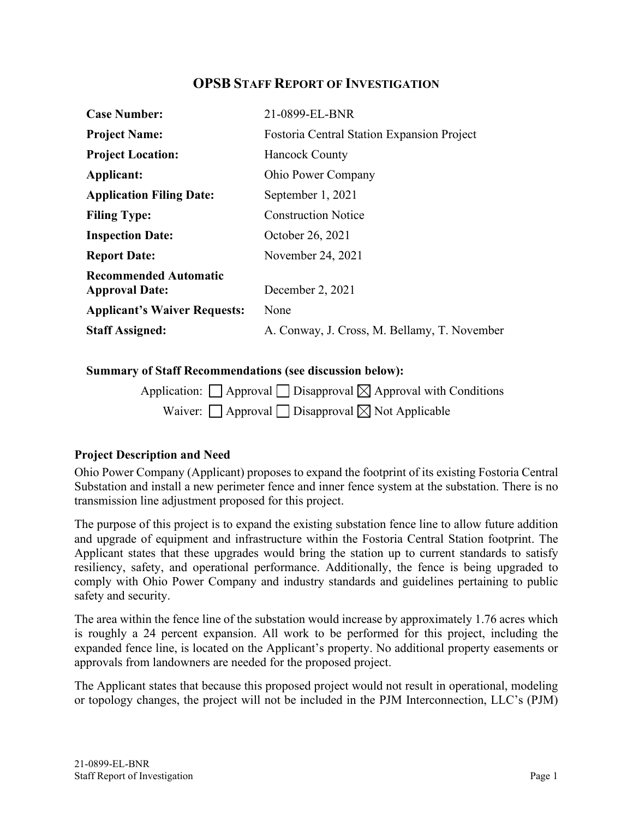# **OPSB STAFF REPORT OF INVESTIGATION**

| <b>Case Number:</b>                                   | 21-0899-EL-BNR                                    |
|-------------------------------------------------------|---------------------------------------------------|
| <b>Project Name:</b>                                  | <b>Fostoria Central Station Expansion Project</b> |
| <b>Project Location:</b>                              | <b>Hancock County</b>                             |
| Applicant:                                            | <b>Ohio Power Company</b>                         |
| <b>Application Filing Date:</b>                       | September 1, 2021                                 |
| <b>Filing Type:</b>                                   | <b>Construction Notice</b>                        |
| <b>Inspection Date:</b>                               | October 26, 2021                                  |
| <b>Report Date:</b>                                   | November 24, 2021                                 |
| <b>Recommended Automatic</b><br><b>Approval Date:</b> | December 2, 2021                                  |
| <b>Applicant's Waiver Requests:</b>                   | None                                              |
| <b>Staff Assigned:</b>                                | A. Conway, J. Cross, M. Bellamy, T. November      |

#### **Summary of Staff Recommendations (see discussion below):**

| Application: $\Box$ Approval $\Box$ Disapproval $\boxtimes$ Approval with Conditions |
|--------------------------------------------------------------------------------------|
| Waiver: $\Box$ Approval $\Box$ Disapproval $\boxtimes$ Not Applicable                |

# **Project Description and Need**

Ohio Power Company (Applicant) proposes to expand the footprint of its existing Fostoria Central Substation and install a new perimeter fence and inner fence system at the substation. There is no transmission line adjustment proposed for this project.

The purpose of this project is to expand the existing substation fence line to allow future addition and upgrade of equipment and infrastructure within the Fostoria Central Station footprint. The Applicant states that these upgrades would bring the station up to current standards to satisfy resiliency, safety, and operational performance. Additionally, the fence is being upgraded to comply with Ohio Power Company and industry standards and guidelines pertaining to public safety and security.

The area within the fence line of the substation would increase by approximately 1.76 acres which is roughly a 24 percent expansion. All work to be performed for this project, including the expanded fence line, is located on the Applicant's property. No additional property easements or approvals from landowners are needed for the proposed project.

The Applicant states that because this proposed project would not result in operational, modeling or topology changes, the project will not be included in the PJM Interconnection, LLC's (PJM)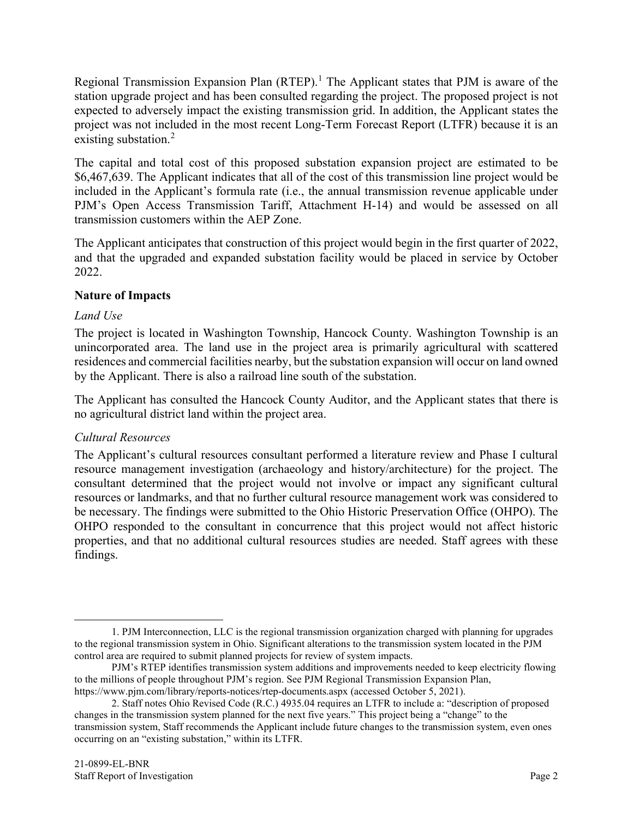Regional Transmission Expansion Plan (RTEP).<sup>[1](#page-2-0)</sup> The Applicant states that PJM is aware of the station upgrade project and has been consulted regarding the project. The proposed project is not expected to adversely impact the existing transmission grid. In addition, the Applicant states the project was not included in the most recent Long-Term Forecast Report (LTFR) because it is an existing substation.<sup>[2](#page-2-1)</sup>

The capital and total cost of this proposed substation expansion project are estimated to be \$6,467,639. The Applicant indicates that all of the cost of this transmission line project would be included in the Applicant's formula rate (i.e., the annual transmission revenue applicable under PJM's Open Access Transmission Tariff, Attachment H-14) and would be assessed on all transmission customers within the AEP Zone.

The Applicant anticipates that construction of this project would begin in the first quarter of 2022, and that the upgraded and expanded substation facility would be placed in service by October 2022.

# **Nature of Impacts**

# *Land Use*

The project is located in Washington Township, Hancock County. Washington Township is an unincorporated area. The land use in the project area is primarily agricultural with scattered residences and commercial facilities nearby, but the substation expansion will occur on land owned by the Applicant. There is also a railroad line south of the substation.

The Applicant has consulted the Hancock County Auditor, and the Applicant states that there is no agricultural district land within the project area.

# *Cultural Resources*

The Applicant's cultural resources consultant performed a literature review and Phase I cultural resource management investigation (archaeology and history/architecture) for the project. The consultant determined that the project would not involve or impact any significant cultural resources or landmarks, and that no further cultural resource management work was considered to be necessary. The findings were submitted to the Ohio Historic Preservation Office (OHPO). The OHPO responded to the consultant in concurrence that this project would not affect historic properties, and that no additional cultural resources studies are needed. Staff agrees with these findings.

<span id="page-2-0"></span><sup>1.</sup> PJM Interconnection, LLC is the regional transmission organization charged with planning for upgrades to the regional transmission system in Ohio. Significant alterations to the transmission system located in the PJM control area are required to submit planned projects for review of system impacts.

PJM's RTEP identifies transmission system additions and improvements needed to keep electricity flowing to the millions of people throughout PJM's region. See PJM Regional Transmission Expansion Plan, <https://www.pjm.com/library/reports-notices/rtep-documents.aspx> (accessed October 5, 2021).

<span id="page-2-1"></span><sup>2.</sup> Staff notes Ohio Revised Code (R.C.) 4935.04 requires an LTFR to include a: "description of proposed changes in the transmission system planned for the next five years." This project being a "change" to the transmission system, Staff recommends the Applicant include future changes to the transmission system, even ones occurring on an "existing substation," within its LTFR.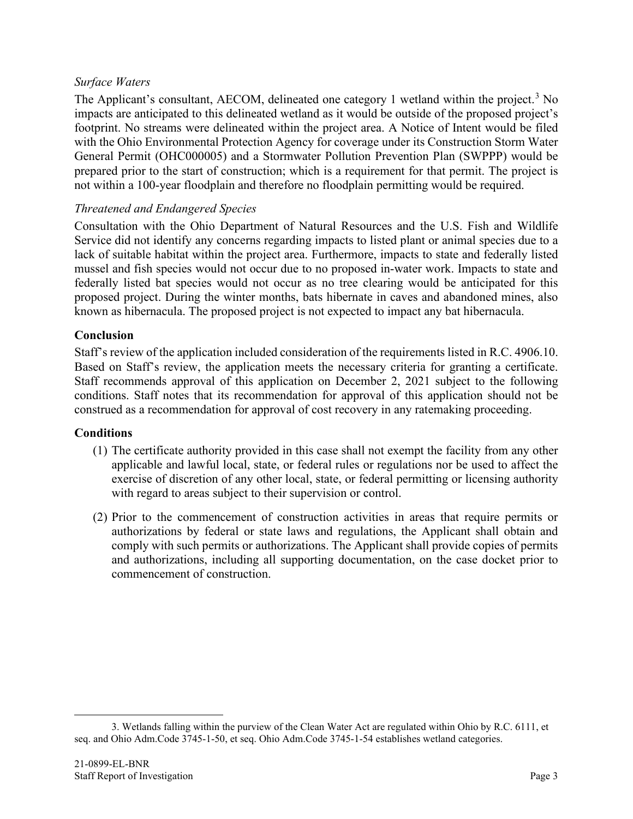#### *Surface Waters*

The Applicant's consultant, AECOM, delineated one category 1 wetland within the project.<sup>[3](#page-3-0)</sup> No impacts are anticipated to this delineated wetland as it would be outside of the proposed project's footprint. No streams were delineated within the project area. A Notice of Intent would be filed with the Ohio Environmental Protection Agency for coverage under its Construction Storm Water General Permit (OHC000005) and a Stormwater Pollution Prevention Plan (SWPPP) would be prepared prior to the start of construction; which is a requirement for that permit. The project is not within a 100-year floodplain and therefore no floodplain permitting would be required.

#### *Threatened and Endangered Species*

Consultation with the Ohio Department of Natural Resources and the U.S. Fish and Wildlife Service did not identify any concerns regarding impacts to listed plant or animal species due to a lack of suitable habitat within the project area. Furthermore, impacts to state and federally listed mussel and fish species would not occur due to no proposed in-water work. Impacts to state and federally listed bat species would not occur as no tree clearing would be anticipated for this proposed project. During the winter months, bats hibernate in caves and abandoned mines, also known as hibernacula. The proposed project is not expected to impact any bat hibernacula.

#### **Conclusion**

Staff's review of the application included consideration of the requirements listed in R.C. 4906.10. Based on Staff's review, the application meets the necessary criteria for granting a certificate. Staff recommends approval of this application on December 2, 2021 subject to the following conditions. Staff notes that its recommendation for approval of this application should not be construed as a recommendation for approval of cost recovery in any ratemaking proceeding.

#### **Conditions**

- (1) The certificate authority provided in this case shall not exempt the facility from any other applicable and lawful local, state, or federal rules or regulations nor be used to affect the exercise of discretion of any other local, state, or federal permitting or licensing authority with regard to areas subject to their supervision or control.
- (2) Prior to the commencement of construction activities in areas that require permits or authorizations by federal or state laws and regulations, the Applicant shall obtain and comply with such permits or authorizations. The Applicant shall provide copies of permits and authorizations, including all supporting documentation, on the case docket prior to commencement of construction.

<span id="page-3-0"></span><sup>3.</sup> Wetlands falling within the purview of the Clean Water Act are regulated within Ohio by R.C. 6111, et seq. and Ohio Adm.Code 3745-1-50, et seq. Ohio Adm.Code 3745-1-54 establishes wetland categories.